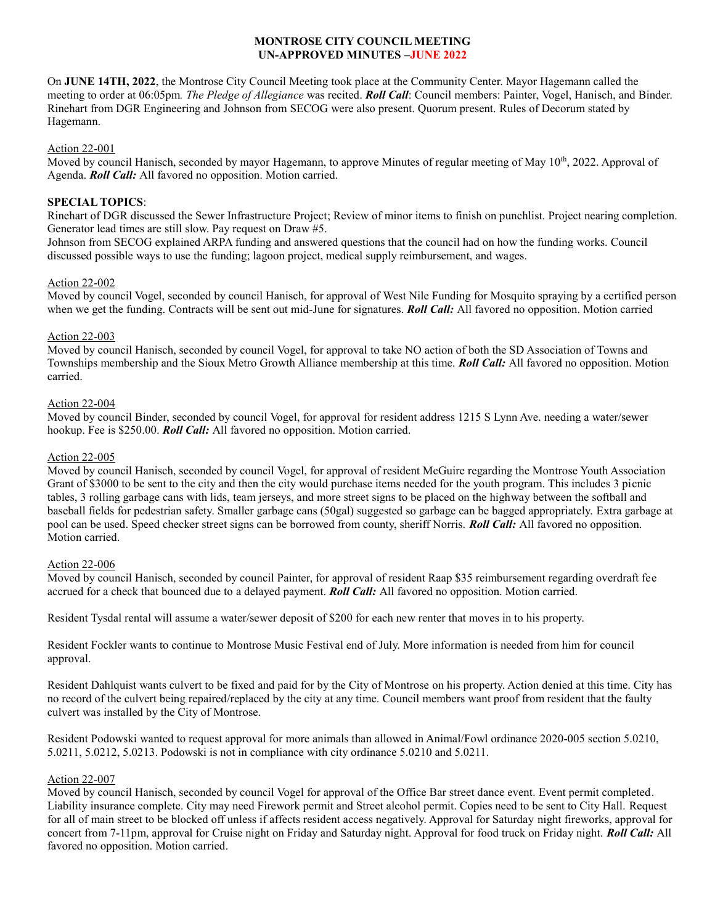### **MONTROSE CITY COUNCIL MEETING UN-APPROVED MINUTES –JUNE 2022**

On **JUNE 14TH, 2022**, the Montrose City Council Meeting took place at the Community Center. Mayor Hagemann called the meeting to order at 06:05pm*. The Pledge of Allegiance* was recited. *Roll Call*: Council members: Painter, Vogel, Hanisch, and Binder. Rinehart from DGR Engineering and Johnson from SECOG were also present. Quorum present. Rules of Decorum stated by Hagemann.

### Action 22-001

Moved by council Hanisch, seconded by mayor Hagemann, to approve Minutes of regular meeting of May  $10^{th}$ , 2022. Approval of Agenda. *Roll Call:* All favored no opposition. Motion carried.

## **SPECIAL TOPICS**:

Rinehart of DGR discussed the Sewer Infrastructure Project; Review of minor items to finish on punchlist. Project nearing completion. Generator lead times are still slow. Pay request on Draw #5.

Johnson from SECOG explained ARPA funding and answered questions that the council had on how the funding works. Council discussed possible ways to use the funding; lagoon project, medical supply reimbursement, and wages.

#### Action 22-002

Moved by council Vogel, seconded by council Hanisch, for approval of West Nile Funding for Mosquito spraying by a certified person when we get the funding. Contracts will be sent out mid-June for signatures. *Roll Call:* All favored no opposition. Motion carried

### Action 22-003

Moved by council Hanisch, seconded by council Vogel, for approval to take NO action of both the SD Association of Towns and Townships membership and the Sioux Metro Growth Alliance membership at this time. *Roll Call:* All favored no opposition. Motion carried.

### Action 22-004

Moved by council Binder, seconded by council Vogel, for approval for resident address 1215 S Lynn Ave. needing a water/sewer hookup. Fee is \$250.00. *Roll Call:* All favored no opposition. Motion carried.

#### Action 22-005

Moved by council Hanisch, seconded by council Vogel, for approval of resident McGuire regarding the Montrose Youth Association Grant of \$3000 to be sent to the city and then the city would purchase items needed for the youth program. This includes 3 picnic tables, 3 rolling garbage cans with lids, team jerseys, and more street signs to be placed on the highway between the softball and baseball fields for pedestrian safety. Smaller garbage cans (50gal) suggested so garbage can be bagged appropriately. Extra garbage at pool can be used. Speed checker street signs can be borrowed from county, sheriff Norris. *Roll Call:* All favored no opposition. Motion carried.

## Action 22-006

Moved by council Hanisch, seconded by council Painter, for approval of resident Raap \$35 reimbursement regarding overdraft fee accrued for a check that bounced due to a delayed payment. *Roll Call:* All favored no opposition. Motion carried.

Resident Tysdal rental will assume a water/sewer deposit of \$200 for each new renter that moves in to his property.

Resident Fockler wants to continue to Montrose Music Festival end of July. More information is needed from him for council approval.

Resident Dahlquist wants culvert to be fixed and paid for by the City of Montrose on his property. Action denied at this time. City has no record of the culvert being repaired/replaced by the city at any time. Council members want proof from resident that the faulty culvert was installed by the City of Montrose.

Resident Podowski wanted to request approval for more animals than allowed in Animal/Fowl ordinance 2020-005 section 5.0210, 5.0211, 5.0212, 5.0213. Podowski is not in compliance with city ordinance 5.0210 and 5.0211.

## Action 22-007

Moved by council Hanisch, seconded by council Vogel for approval of the Office Bar street dance event. Event permit completed. Liability insurance complete. City may need Firework permit and Street alcohol permit. Copies need to be sent to City Hall. Request for all of main street to be blocked off unless if affects resident access negatively. Approval for Saturday night fireworks, approval for concert from 7-11pm, approval for Cruise night on Friday and Saturday night. Approval for food truck on Friday night. *Roll Call:* All favored no opposition. Motion carried.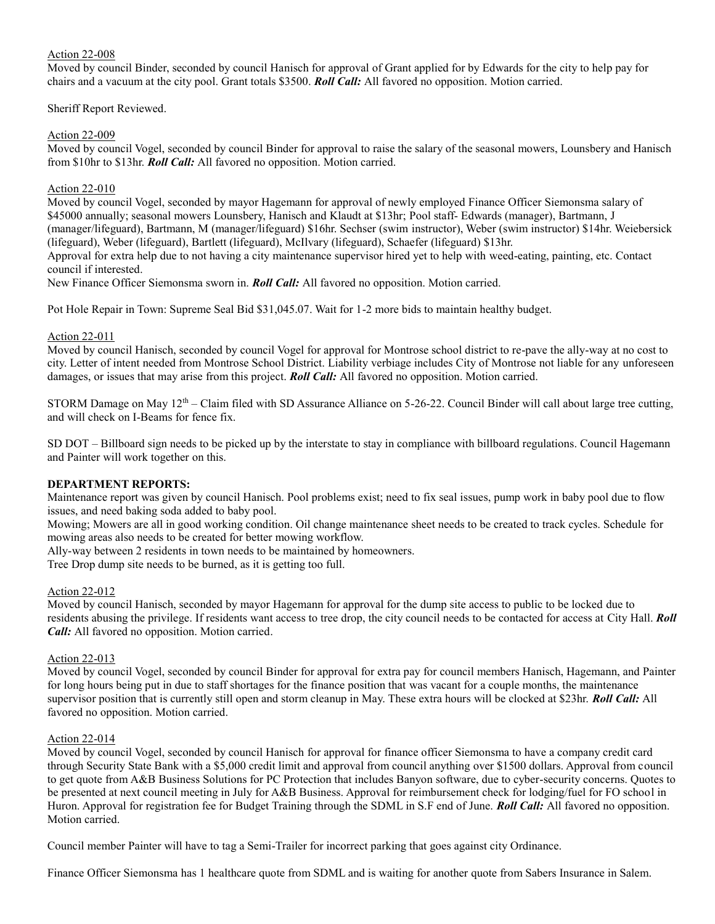## Action 22-008

Moved by council Binder, seconded by council Hanisch for approval of Grant applied for by Edwards for the city to help pay for chairs and a vacuum at the city pool. Grant totals \$3500. *Roll Call:* All favored no opposition. Motion carried.

Sheriff Report Reviewed.

## Action 22-009

Moved by council Vogel, seconded by council Binder for approval to raise the salary of the seasonal mowers, Lounsbery and Hanisch from \$10hr to \$13hr. *Roll Call:* All favored no opposition. Motion carried.

## Action 22-010

Moved by council Vogel, seconded by mayor Hagemann for approval of newly employed Finance Officer Siemonsma salary of \$45000 annually; seasonal mowers Lounsbery, Hanisch and Klaudt at \$13hr; Pool staff- Edwards (manager), Bartmann, J (manager/lifeguard), Bartmann, M (manager/lifeguard) \$16hr. Sechser (swim instructor), Weber (swim instructor) \$14hr. Weiebersick (lifeguard), Weber (lifeguard), Bartlett (lifeguard), McIlvary (lifeguard), Schaefer (lifeguard) \$13hr.

Approval for extra help due to not having a city maintenance supervisor hired yet to help with weed-eating, painting, etc. Contact council if interested.

New Finance Officer Siemonsma sworn in. *Roll Call:* All favored no opposition. Motion carried.

Pot Hole Repair in Town: Supreme Seal Bid \$31,045.07. Wait for 1-2 more bids to maintain healthy budget.

## Action 22-011

Moved by council Hanisch, seconded by council Vogel for approval for Montrose school district to re-pave the ally-way at no cost to city. Letter of intent needed from Montrose School District. Liability verbiage includes City of Montrose not liable for any unforeseen damages, or issues that may arise from this project. *Roll Call:* All favored no opposition. Motion carried.

STORM Damage on May 12<sup>th</sup> – Claim filed with SD Assurance Alliance on 5-26-22. Council Binder will call about large tree cutting, and will check on I-Beams for fence fix.

SD DOT – Billboard sign needs to be picked up by the interstate to stay in compliance with billboard regulations. Council Hagemann and Painter will work together on this.

## **DEPARTMENT REPORTS:**

Maintenance report was given by council Hanisch. Pool problems exist; need to fix seal issues, pump work in baby pool due to flow issues, and need baking soda added to baby pool.

Mowing; Mowers are all in good working condition. Oil change maintenance sheet needs to be created to track cycles. Schedule for mowing areas also needs to be created for better mowing workflow.

Ally-way between 2 residents in town needs to be maintained by homeowners.

Tree Drop dump site needs to be burned, as it is getting too full.

## Action 22-012

Moved by council Hanisch, seconded by mayor Hagemann for approval for the dump site access to public to be locked due to residents abusing the privilege. If residents want access to tree drop, the city council needs to be contacted for access at City Hall. *Roll Call:* All favored no opposition. Motion carried.

## Action 22-013

Moved by council Vogel, seconded by council Binder for approval for extra pay for council members Hanisch, Hagemann, and Painter for long hours being put in due to staff shortages for the finance position that was vacant for a couple months, the maintenance supervisor position that is currently still open and storm cleanup in May. These extra hours will be clocked at \$23hr. *Roll Call:* All favored no opposition. Motion carried.

## Action 22-014

Moved by council Vogel, seconded by council Hanisch for approval for finance officer Siemonsma to have a company credit card through Security State Bank with a \$5,000 credit limit and approval from council anything over \$1500 dollars. Approval from council to get quote from A&B Business Solutions for PC Protection that includes Banyon software, due to cyber-security concerns. Quotes to be presented at next council meeting in July for A&B Business. Approval for reimbursement check for lodging/fuel for FO school in Huron. Approval for registration fee for Budget Training through the SDML in S.F end of June. *Roll Call:* All favored no opposition. Motion carried.

Council member Painter will have to tag a Semi-Trailer for incorrect parking that goes against city Ordinance.

Finance Officer Siemonsma has 1 healthcare quote from SDML and is waiting for another quote from Sabers Insurance in Salem.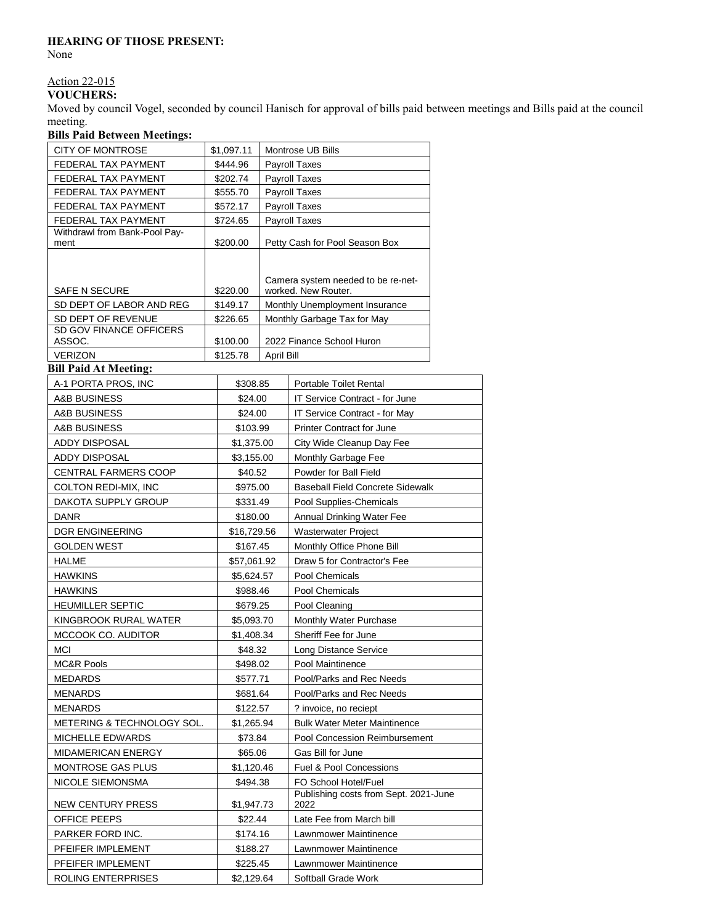# **HEARING OF THOSE PRESENT:**

None

# Action 22-015

# **VOUCHERS:**

Moved by council Vogel, seconded by council Hanisch for approval of bills paid between meetings and Bills paid at the council meeting.

## **Bills Paid Between Meetings:**

| <b>CITY OF MONTROSE</b>                       | \$1,097.11         |                          |          | Montrose UB Bills                                             |  |
|-----------------------------------------------|--------------------|--------------------------|----------|---------------------------------------------------------------|--|
| FEDERAL TAX PAYMENT                           | \$444.96           |                          |          | <b>Payroll Taxes</b>                                          |  |
| FEDERAL TAX PAYMENT                           | \$202.74           |                          |          | <b>Payroll Taxes</b>                                          |  |
| FEDERAL TAX PAYMENT                           | \$555.70           |                          |          | Payroll Taxes                                                 |  |
| FEDERAL TAX PAYMENT                           | \$572.17           |                          |          | <b>Payroll Taxes</b>                                          |  |
| FEDERAL TAX PAYMENT                           | \$724.65           |                          |          | <b>Payroll Taxes</b>                                          |  |
| Withdrawl from Bank-Pool Pay-<br>ment         | \$200.00           |                          |          | Petty Cash for Pool Season Box                                |  |
|                                               |                    |                          |          |                                                               |  |
|                                               |                    |                          |          |                                                               |  |
|                                               |                    |                          |          | Camera system needed to be re-net-                            |  |
| <b>SAFE N SECURE</b>                          | \$220.00           |                          |          | worked. New Router.                                           |  |
| SD DEPT OF LABOR AND REG                      | \$149.17           |                          |          | Monthly Unemployment Insurance                                |  |
| SD DEPT OF REVENUE<br>SD GOV FINANCE OFFICERS |                    | \$226.65                 |          | Monthly Garbage Tax for May                                   |  |
| ASSOC.                                        |                    | \$100.00                 |          | 2022 Finance School Huron                                     |  |
| <b>VERIZON</b>                                |                    | \$125.78                 |          | April Bill                                                    |  |
| <b>Bill Paid At Meeting:</b>                  |                    |                          |          |                                                               |  |
| A-1 PORTA PROS, INC                           |                    | \$308.85                 |          | Portable Toilet Rental                                        |  |
| A&B BUSINESS                                  |                    | \$24.00                  |          | IT Service Contract - for June                                |  |
| A&B BUSINESS                                  | \$24.00            |                          |          | IT Service Contract - for May                                 |  |
| A&B BUSINESS                                  |                    | \$103.99                 |          | Printer Contract for June                                     |  |
| <b>ADDY DISPOSAL</b>                          |                    | \$1,375.00               |          | City Wide Cleanup Day Fee                                     |  |
| ADDY DISPOSAL                                 | \$3,155.00         |                          |          | Monthly Garbage Fee                                           |  |
| CENTRAL FARMERS COOP                          | \$40.52            |                          |          | Powder for Ball Field                                         |  |
| COLTON REDI-MIX, INC                          | \$975.00           |                          |          | <b>Baseball Field Concrete Sidewalk</b>                       |  |
| DAKOTA SUPPLY GROUP                           | \$331.49           |                          |          | Pool Supplies-Chemicals                                       |  |
| DANR                                          | \$180.00           |                          |          | Annual Drinking Water Fee                                     |  |
| <b>DGR ENGINEERING</b>                        | \$16,729.56        |                          |          | Wasterwater Project                                           |  |
| <b>GOLDEN WEST</b>                            | \$167.45           |                          |          | Monthly Office Phone Bill                                     |  |
| HALME                                         | \$57,061.92        |                          |          | Draw 5 for Contractor's Fee                                   |  |
| <b>HAWKINS</b>                                | \$5,624.57         |                          |          | Pool Chemicals                                                |  |
| <b>HAWKINS</b>                                | \$988.46           |                          |          | Pool Chemicals                                                |  |
| <b>HEUMILLER SEPTIC</b>                       |                    |                          | \$679.25 | Pool Cleaning                                                 |  |
| KINGBROOK RURAL WATER                         |                    |                          |          | <b>Monthly Water Purchase</b>                                 |  |
| MCCOOK CO. AUDITOR                            |                    | \$5,093.70<br>\$1,408.34 |          | Sheriff Fee for June                                          |  |
| <b>MCI</b>                                    | \$48.32            |                          |          | Long Distance Service                                         |  |
| <b>MC&amp;R Pools</b>                         | \$498.02           |                          |          | Pool Maintinence                                              |  |
| MEDARDS                                       | \$577.71           |                          |          | Pool/Parks and Rec Needs                                      |  |
| MENARDS                                       | \$681.64           |                          |          | Pool/Parks and Rec Needs                                      |  |
| MENARDS                                       | \$122.57           |                          |          | ? invoice, no reciept                                         |  |
| METERING & TECHNOLOGY SOL.                    | \$1,265.94         |                          |          | <b>Bulk Water Meter Maintinence</b>                           |  |
| MICHELLE EDWARDS                              |                    |                          |          | Pool Concession Reimbursement                                 |  |
| MIDAMERICAN ENERGY                            | \$73.84<br>\$65.06 |                          |          | Gas Bill for June                                             |  |
| MONTROSE GAS PLUS                             |                    |                          |          | <b>Fuel &amp; Pool Concessions</b>                            |  |
|                                               | \$1,120.46         |                          |          |                                                               |  |
| NICOLE SIEMONSMA                              |                    | \$494.38                 |          | FO School Hotel/Fuel<br>Publishing costs from Sept. 2021-June |  |
| NEW CENTURY PRESS                             |                    | \$1,947.73               |          | 2022                                                          |  |
| OFFICE PEEPS                                  |                    | \$22.44                  |          | Late Fee from March bill                                      |  |
| PARKER FORD INC.                              |                    | \$174.16                 |          | Lawnmower Maintinence                                         |  |
| PFEIFER IMPLEMENT                             |                    | \$188.27                 |          | Lawnmower Maintinence                                         |  |
| PFEIFER IMPLEMENT                             |                    | \$225.45                 |          | Lawnmower Maintinence                                         |  |
| ROLING ENTERPRISES                            |                    | \$2,129.64               |          | Softball Grade Work                                           |  |